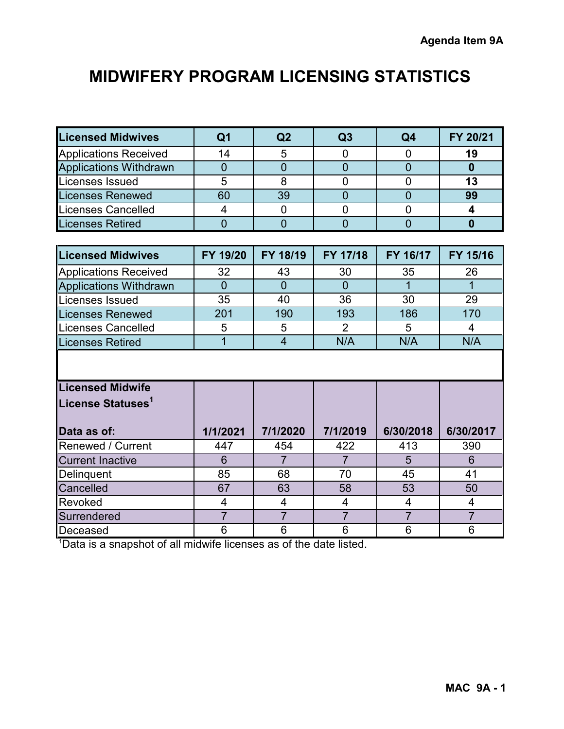#### **MIDWIFERY PROGRAM LICENSING STATISTICS**

| <b>Licensed Midwives</b>      | Q <sub>1</sub> | Q2             | Q3             | Q <sub>4</sub> | FY 20/21                |
|-------------------------------|----------------|----------------|----------------|----------------|-------------------------|
| <b>Applications Received</b>  | 14             | 5              | $\overline{0}$ | $\overline{0}$ | 19                      |
| <b>Applications Withdrawn</b> | $\overline{0}$ | $\overline{0}$ | $\overline{0}$ | $\overline{0}$ | $\mathbf{0}$            |
| Licenses Issued               | 5              | 8              | $\overline{0}$ | $\overline{0}$ | 13                      |
| <b>Licenses Renewed</b>       | 60             | 39             | $\overline{0}$ | $\overline{0}$ | 99                      |
| <b>Licenses Cancelled</b>     | $\overline{4}$ | 0              | $\overline{0}$ | $\overline{0}$ | 4                       |
| <b>Licenses Retired</b>       | $\overline{0}$ | $\overline{0}$ | $\overline{0}$ | $\overline{0}$ | $\mathbf{0}$            |
|                               |                |                |                |                |                         |
| <b>Licensed Midwives</b>      | FY 19/20       | FY 18/19       | FY 17/18       | FY 16/17       | FY 15/16                |
| <b>Applications Received</b>  | 32             | 43             | 30             | 35             | 26                      |
| <b>Applications Withdrawn</b> | $\overline{0}$ | $\overline{0}$ | $\overline{0}$ | $\overline{1}$ | $\mathbf{1}$            |
| Licenses Issued               | 35             | 40             | 36             | 30             | 29                      |
| <b>Licenses Renewed</b>       | 201            | 190            | 193            | 186            | 170                     |
| <b>Licenses Cancelled</b>     | 5              | 5              | $\overline{2}$ | 5              | $\overline{\mathbf{4}}$ |
| <b>Licenses Retired</b>       | $\overline{1}$ | $\overline{4}$ | N/A            | N/A            | N/A                     |
|                               |                |                |                |                |                         |
| <b>Licensed Midwife</b>       |                |                |                |                |                         |
| License Statuses <sup>1</sup> |                |                |                |                |                         |
|                               |                |                |                |                |                         |
| Data as of:                   | 1/1/2021       | 7/1/2020       | 7/1/2019       | 6/30/2018      | 6/30/2017               |
| Renewed / Current             | 447            | 454            | 422            | 413            | 390                     |
| <b>Current Inactive</b>       | 6              | $\overline{7}$ | $\overline{7}$ | 5              | 6                       |
| Delinquent                    | 85             | 68             | 70             | 45             | 41                      |
| Cancelled                     | 67             | 63             | 58             | 53             | 50                      |
| Revoked                       | $\overline{4}$ | 4              | 4              | $\overline{4}$ | $\overline{4}$          |
| Surrendered                   | $\overline{7}$ | $\overline{7}$ | $\overline{7}$ | $\overline{7}$ | $\overline{7}$          |
| Deceased                      | 6              | 6              | 6              | 6              | 6                       |

1 Data is a snapshot of all midwife licenses as of the date listed.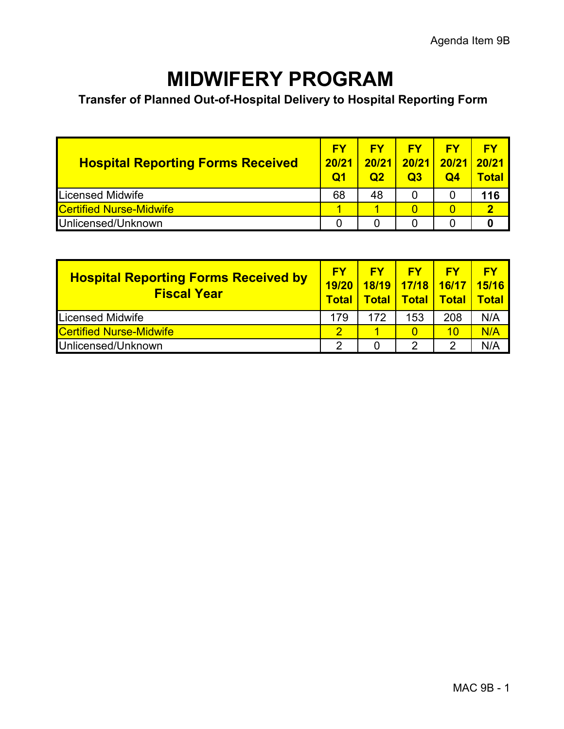# **MIDWIFERY PROGRAM**

#### **Transfer of Planned Out-of-Hospital Delivery to Hospital Reporting Form**

| <b>Hospital Reporting Forms Received</b> | <b>FY</b><br>20/21<br>Q1 | FY I<br>20/21<br>$\Omega$ | <b>FY</b><br>20/21<br>Ο3 | <b>FY</b><br>20/21<br>Q4 | <b>FY</b><br> 20/21<br>Total |
|------------------------------------------|--------------------------|---------------------------|--------------------------|--------------------------|------------------------------|
| <b>Licensed Midwife</b>                  | 68                       | 48                        |                          |                          | 116                          |
| <b>Certified Nurse-Midwife</b>           |                          |                           |                          |                          | っ                            |
| Unlicensed/Unknown                       |                          |                           |                          |                          |                              |

| <b>Hospital Reporting Forms Received by</b><br><b>Fiscal Year</b> | <b>FY</b><br>19/20<br><b>Total</b> | <b>FY</b> I<br><b>Total</b> | <b>FY</b><br><mark>l Total</mark> | <b>FY</b><br><u>18/19   17/18   16/17  </u><br><b>Total</b> | <b>FY</b><br>15/16<br><b>Total</b> |
|-------------------------------------------------------------------|------------------------------------|-----------------------------|-----------------------------------|-------------------------------------------------------------|------------------------------------|
| Licensed Midwife                                                  | 179                                | 172                         | 153                               | 208                                                         | N/A                                |
| <b>Certified Nurse-Midwife</b>                                    | 0                                  |                             |                                   | 10                                                          | N/A                                |
| Unlicensed/Unknown                                                | ◠                                  |                             | າ                                 | 2                                                           | N/A                                |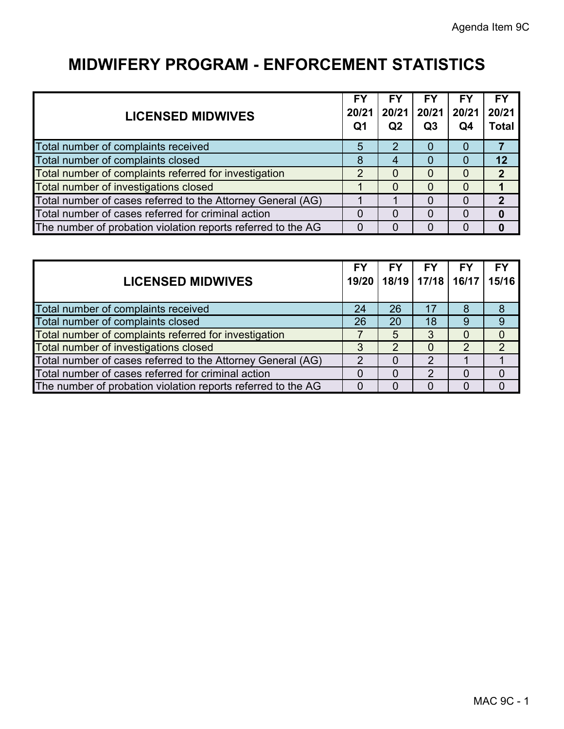| <b>LICENSED MIDWIVES</b>                                     | FY<br>20/21<br>Q1 | FY<br>20/21<br>Q <sub>2</sub> | <b>FY</b><br>20/21<br>Q <sub>3</sub> | FY<br>20/21<br>Q4 | <b>FY</b><br>20/21<br><b>Total</b> |
|--------------------------------------------------------------|-------------------|-------------------------------|--------------------------------------|-------------------|------------------------------------|
| Total number of complaints received                          | 5                 | っ                             |                                      |                   |                                    |
| Total number of complaints closed                            | 8                 | 4                             |                                      | $\cup$            | 12                                 |
| Total number of complaints referred for investigation        | 2                 | O                             |                                      |                   | $\overline{2}$                     |
| Total number of investigations closed                        |                   | $\Omega$                      |                                      | $\mathbf{O}$      |                                    |
| Total number of cases referred to the Attorney General (AG)  |                   |                               |                                      |                   | 2                                  |
| Total number of cases referred for criminal action           |                   | 0                             |                                      |                   |                                    |
| The number of probation violation reports referred to the AG | 0                 |                               |                                      |                   |                                    |

| <b>LICENSED MIDWIVES</b>                                     | <b>FY</b> | FY           | <b>FY</b> | FY<br>19/20   18/19   17/18   16/17 | <b>FY</b><br>15/16 |
|--------------------------------------------------------------|-----------|--------------|-----------|-------------------------------------|--------------------|
| Total number of complaints received                          | 24        | 26           |           | 8                                   | 8                  |
| Total number of complaints closed                            | 26        | 20           | 18        | 9                                   | 9                  |
| Total number of complaints referred for investigation        |           | 5            |           | $\Omega$                            |                    |
| Total number of investigations closed                        | 3         | 2            |           | 2                                   | $\mathcal{P}$      |
| Total number of cases referred to the Attorney General (AG)  | າ         |              | າ         |                                     |                    |
| Total number of cases referred for criminal action           |           | $\mathbf{0}$ |           |                                     |                    |
| The number of probation violation reports referred to the AG |           |              |           |                                     |                    |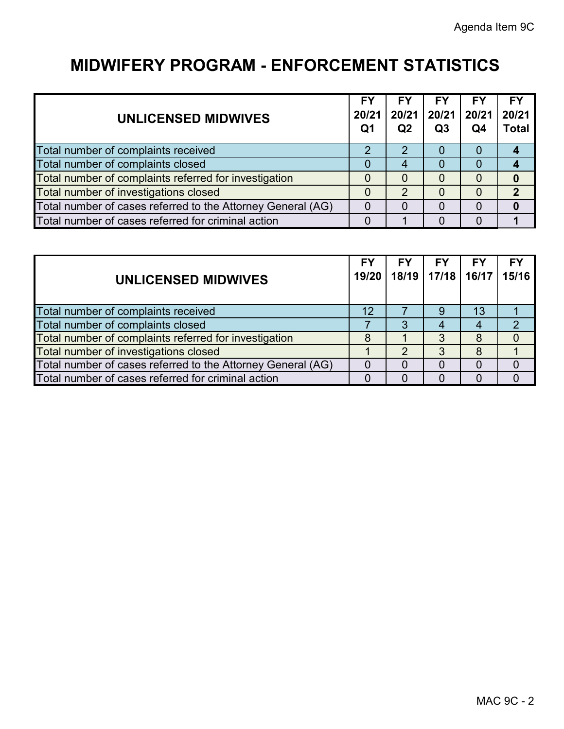| <b>UNLICENSED MIDWIVES</b>                                  | <b>FY</b><br>20/21<br>Q1 | <b>FY</b><br>20/21<br>Q <sub>2</sub> | <b>FY</b><br>20/21<br>Q <sub>3</sub> | <b>FY</b><br>20/21<br>Q <sub>4</sub> | <b>FY</b><br>20/21<br><b>Total</b> |
|-------------------------------------------------------------|--------------------------|--------------------------------------|--------------------------------------|--------------------------------------|------------------------------------|
| Total number of complaints received                         | າ                        |                                      |                                      |                                      |                                    |
| Total number of complaints closed                           |                          |                                      |                                      | $\Omega$                             |                                    |
| Total number of complaints referred for investigation       | O                        |                                      | $\mathbf{I}$                         | $\Omega$                             |                                    |
| Total number of investigations closed                       | $\Omega$                 | າ                                    | O                                    | 0                                    |                                    |
| Total number of cases referred to the Attorney General (AG) |                          |                                      |                                      |                                      |                                    |
| Total number of cases referred for criminal action          |                          |                                      | $\left($                             | 0                                    |                                    |

| UNLICENSED MIDWIVES                                         | <b>FY</b> | FΥ | <b>FY</b><br>19/20   18/19   17/18   16/17 | FY       | <b>FY</b><br>15/16 |
|-------------------------------------------------------------|-----------|----|--------------------------------------------|----------|--------------------|
| Total number of complaints received                         | 12        |    |                                            | 13       |                    |
| Total number of complaints closed                           |           |    |                                            |          |                    |
| Total number of complaints referred for investigation       | 8         |    |                                            | 8        |                    |
| Total number of investigations closed                       |           |    |                                            |          |                    |
| Total number of cases referred to the Attorney General (AG) |           |    |                                            |          |                    |
| Total number of cases referred for criminal action          |           |    |                                            | $\Omega$ |                    |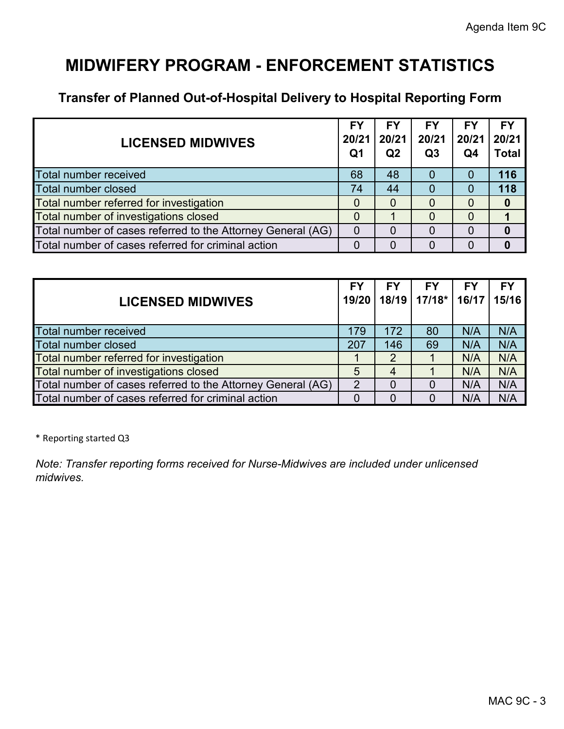#### **Transfer of Planned Out-of-Hospital Delivery to Hospital Reporting Form**

| <b>LICENSED MIDWIVES</b>                                    | <b>FY</b><br>20/21<br>Q1 | FY<br>20/21<br>Q <sub>2</sub> | FY<br>20/21<br>Q <sub>3</sub> | <b>FY</b><br>20/21<br>Q <sub>4</sub> | <b>FY</b><br>20/21<br><b>Total</b> |
|-------------------------------------------------------------|--------------------------|-------------------------------|-------------------------------|--------------------------------------|------------------------------------|
| Total number received                                       | 68                       | 48                            |                               | 0                                    | 116                                |
| Total number closed                                         | 74                       | 44                            |                               | $\Omega$                             | 118                                |
| Total number referred for investigation                     |                          |                               |                               |                                      |                                    |
| Total number of investigations closed                       |                          |                               | 0                             | $\Omega$                             |                                    |
| Total number of cases referred to the Attorney General (AG) |                          |                               |                               | $\Omega$                             |                                    |
| Total number of cases referred for criminal action          |                          |                               |                               | O                                    |                                    |

| <b>LICENSED MIDWIVES</b>                                    | FY<br>19/20 | FY  | FY<br>18/19   17/18*   16/17 | FΥ  | FY<br>15/16 |
|-------------------------------------------------------------|-------------|-----|------------------------------|-----|-------------|
| Total number received                                       | 179         | 172 | 80                           | N/A | N/A         |
| Total number closed                                         | 207         | 146 | 69                           | N/A | N/A         |
| Total number referred for investigation                     |             | 2   |                              | N/A | N/A         |
| Total number of investigations closed                       |             | 4   |                              | N/A | N/A         |
| Total number of cases referred to the Attorney General (AG) | 2           |     |                              | N/A | N/A         |
| Total number of cases referred for criminal action          |             |     |                              | N/A | N/A         |

\* Reporting started Q3

*Note: Transfer reporting forms received for Nurse-Midwives are included under unlicensed midwives.*